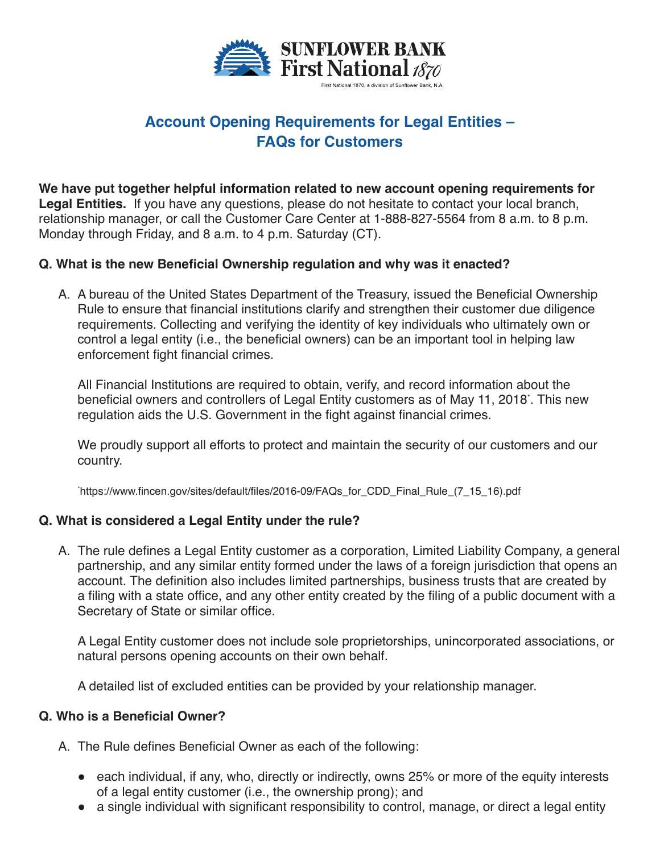

# **Account Opening Requirements for Legal Entities – FAQs for Customers**

**We have put together helpful information related to new account opening requirements for Legal Entities.** If you have any questions, please do not hesitate to contact your local branch, relationship manager, or call the Customer Care Center at 1-888-827-5564 from 8 a.m. to 8 p.m. Monday through Friday, and 8 a.m. to 4 p.m. Saturday (CT).

### **Q. What is the new Beneficial Ownership regulation and why was it enacted?**

A. A bureau of the United States Department of the Treasury, issued the Beneficial Ownership Rule to ensure that financial institutions clarify and strengthen their customer due diligence requirements. Collecting and verifying the identity of key individuals who ultimately own or control a legal entity (i.e., the beneficial owners) can be an important tool in helping law enforcement fight financial crimes.

All Financial Institutions are required to obtain, verify, and record information about the beneficial owners and controllers of Legal Entity customers as of May 11, 2018\* . This new regulation aids the U.S. Government in the fight against financial crimes.

We proudly support all efforts to protect and maintain the security of our customers and our country.

\* https://www.fincen.gov/sites/default/files/2016-09/FAQs\_for\_CDD\_Final\_Rule\_(7\_15\_16).pdf

### **Q. What is considered a Legal Entity under the rule?**

A. The rule defines a Legal Entity customer as a corporation, Limited Liability Company, a general partnership, and any similar entity formed under the laws of a foreign jurisdiction that opens an account. The definition also includes limited partnerships, business trusts that are created by a filing with a state office, and any other entity created by the filing of a public document with a Secretary of State or similar office.

A Legal Entity customer does not include sole proprietorships, unincorporated associations, or natural persons opening accounts on their own behalf.

A detailed list of excluded entities can be provided by your relationship manager.

#### **Q. Who is a Beneficial Owner?**

- A. The Rule defines Beneficial Owner as each of the following:
	- each individual, if any, who, directly or indirectly, owns 25% or more of the equity interests of a legal entity customer (i.e., the ownership prong); and
	- a single individual with significant responsibility to control, manage, or direct a legal entity